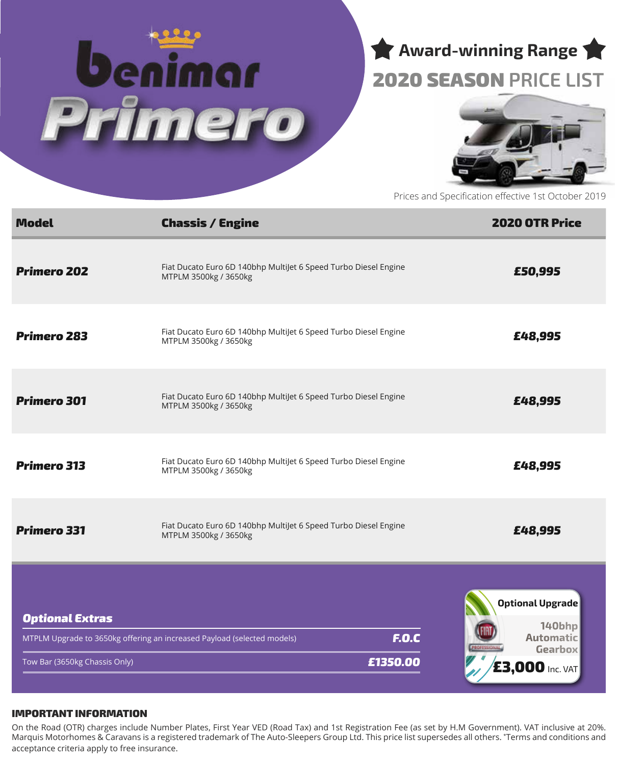



# 2020 SEASON **PRICE LIST**



Prices and Specification effective 1st October 2019

| <b>Model</b>                                            | <b>Chassis / Engine</b>                                                                             | <b>2020 OTR Price</b>                                                                      |  |
|---------------------------------------------------------|-----------------------------------------------------------------------------------------------------|--------------------------------------------------------------------------------------------|--|
| <b>Primero 202</b>                                      | Fiat Ducato Euro 6D 140bhp MultiJet 6 Speed Turbo Diesel Engine<br>MTPLM 3500kg / 3650kg            | £50,995                                                                                    |  |
| <b>Primero 283</b>                                      | Fiat Ducato Euro 6D 140bhp MultiJet 6 Speed Turbo Diesel Engine<br>MTPLM 3500kg / 3650kg            | £48,995                                                                                    |  |
| <b>Primero 301</b>                                      | Fiat Ducato Euro 6D 140bhp MultiJet 6 Speed Turbo Diesel Engine<br>MTPLM 3500kg / 3650kg            | £48,995                                                                                    |  |
| <b>Primero 313</b>                                      | Fiat Ducato Euro 6D 140bhp MultiJet 6 Speed Turbo Diesel Engine<br>MTPLM 3500kg / 3650kg            | £48,995                                                                                    |  |
| <b>Primero 331</b>                                      | Fiat Ducato Euro 6D 140bhp MultiJet 6 Speed Turbo Diesel Engine<br>MTPLM 3500kg / 3650kg            | £48,995                                                                                    |  |
| <b>Optional Extras</b><br>Tow Bar (3650kg Chassis Only) | <b>F.O.C</b><br>MTPLM Upgrade to 3650kg offering an increased Payload (selected models)<br>£1350.00 | <b>Optional Upgrade</b><br>140bhp<br><b>Automatic</b><br>Gearbox<br><b>£3,000 Inc. VAT</b> |  |

#### IMPORTANT INFORMATION

On the Road (OTR) charges include Number Plates, First Year VED (Road Tax) and 1st Registration Fee (as set by H.M Government). VAT inclusive at 20%. Marquis Motorhomes & Caravans is a registered trademark of The Auto-Sleepers Group Ltd. This price list supersedes all others. \* Terms and conditions and acceptance criteria apply to free insurance.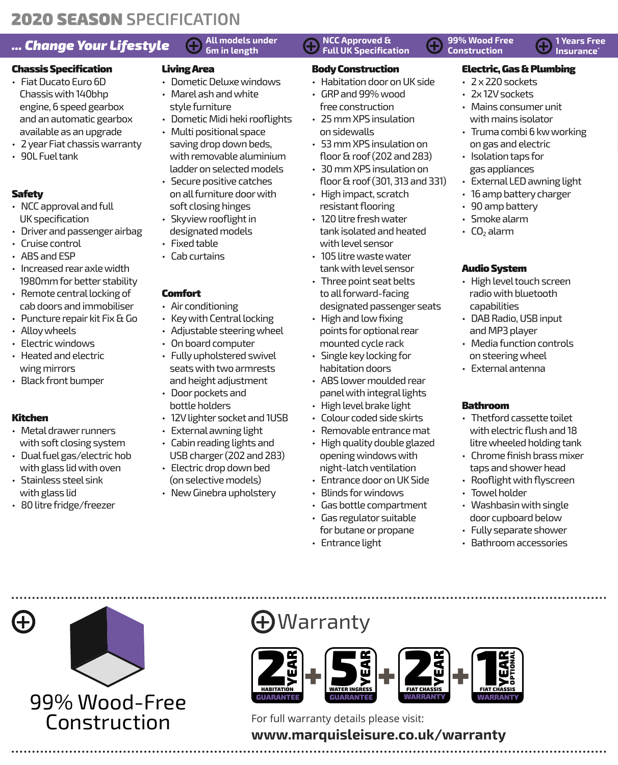# **2020 SEASON SPECIFICATION**

# **6. Change Your Lifestyle**  $\bigoplus_{6m}$  All models under  $\bigoplus_{c}$  NCC Approved &  $\bigoplus_{c}$  99% Wood Free  $\bigoplus_{c}$  1 Years Free  $\bigoplus_{c}$  1 Years Free

## Chassis Specification

- Fiat Ducato Euro 6D Chassis with 140bhp engine, 6 speed gearbox and an automatic gearbox available as an upgrade
- 2 year Fiat chassis warranty
- 90L Fuel tank

## Safety

- NCC approval and full UK specification
- Driver and passenger airbag
- Cruise control
- ABS and ESP
- Increased rear axle width 1980mm for better stability
- Remote central locking of cab doors and immobiliser
- Puncture repair kit Fix & Go
- Alloy wheels
- Electric windows
- Heated and electric wing mirrors
- Black front bumper

### Kitchen

- Metal drawer runners with soft closing system
- Dual fuel gas/electric hob with glass lid with oven
- Stainless steel sink with glass lid
- 80 litre fridge/freezer

# **All models under**

## Living Area

- Dometic Deluxe windows
- Marel ash and white style furniture
- Dometic Midi heki rooflights
- Multi positional space
- saving drop down beds, with removable aluminium ladder on selected models
- Secure positive catches on all furniture door with soft closing hinges
- Skyview rooflight in designated models
- Fixed table
- Cab curtains

## Comfort

- Air conditioning
- Key with Central locking
- Adjustable steering wheel
- On board computer
- Fully upholstered swivel seats with two armrests and height adjustment
- Door pockets and bottle holders
- 12V lighter socket and 1USB
- External awning light
- Cabin reading lights and USB charger (202 and 283)
- Electric drop down bed (on selective models)
- New Ginebra upholstery

#### **NCC Approved & Full UK Specification**

#### Body Construction

- Habitation door on UK side
- GRP and 99% wood free construction
- 25 mm XPS insulation on sidewalls
- 53 mm XPS insulation on floor & roof (202 and 283)
- 30 mm XPS insulation on floor & roof (301, 313 and 331)
- High impact, scratch resistant flooring
- 120 litre fresh water tank isolated and heated with level sensor
- 105 litre waste water tank with level sensor
- Three point seat belts to all forward-facing designated passenger seats
- High and low fixing points for optional rear mounted cycle rack
- Single key locking for habitation doors
- ABS lower moulded rear panel with integral lights
- High level brake light
- Colour coded side skirts
- Removable entrance mat
- High quality double glazed opening windows with night-latch ventilation
- Entrance door on UK Side
- Blinds for windows
- Gas bottle compartment • Gas regulator suitable
- for butane or propane
- Entrance light



**Insurance** 

- 2 x 220 sockets
- 2x 12V sockets
- Mains consumer unit with mains isolator
- Truma combi 6 kw working on gas and electric
- Isolation taps for gas appliances
- External LED awning light
- 16 amp battery charger
- 90 amp battery
- Smoke alarm
- $CO<sub>2</sub>$  alarm

### Audio System

- High level touch screen radio with bluetooth capabilities
- DAB Radio, USB input and MP3 player
- Media function controls on steering wheel
- External antenna

### Bathroom

- Thetford cassette toilet with electric flush and 18 litre wheeled holding tank
- Chrome finish brass mixer taps and shower head
- Rooflight with flyscreen
- Towel holder
- Washbasin with single door cupboard below
- Fully separate shower
- Bathroom accessories

99% Wood-Free Construction

# Warranty



For full warranty details please visit:

# **www.marquisleisure.co.uk/warranty**

**99% Wood Free Construction**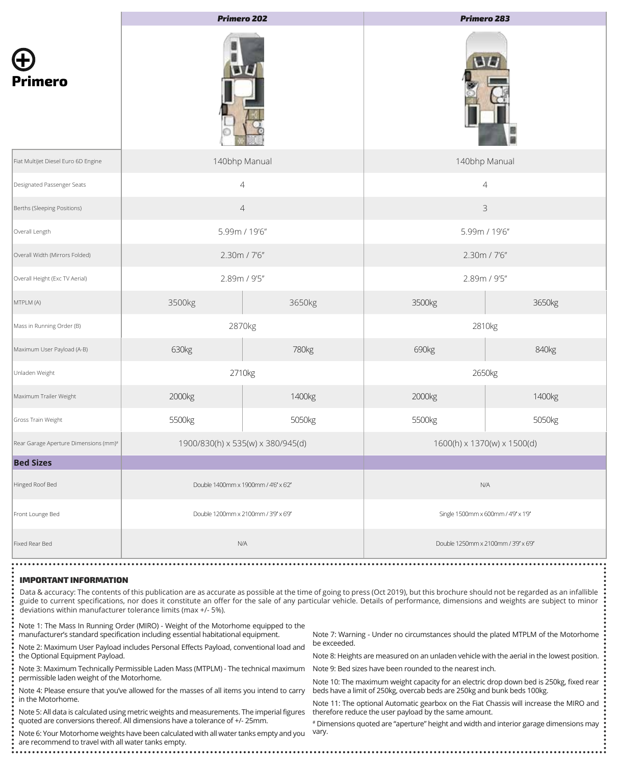|                                                   | <b>Primero 202</b>                   |                | <b>Primero 283</b>                   |        |  |  |
|---------------------------------------------------|--------------------------------------|----------------|--------------------------------------|--------|--|--|
| <b>Primero</b>                                    |                                      |                | W                                    |        |  |  |
| Fiat MultiJet Diesel Euro 6D Engine               | 140bhp Manual                        |                | 140bhp Manual                        |        |  |  |
| Designated Passenger Seats                        |                                      | $\overline{4}$ | $\overline{4}$                       |        |  |  |
| Berths (Sleeping Positions)                       |                                      | $\overline{4}$ | 3                                    |        |  |  |
| Overall Length                                    | 5.99m / 19'6"                        |                | 5.99m / 19'6"                        |        |  |  |
| Overall Width (Mirrors Folded)                    | 2.30m / 7'6"                         |                | 2.30m / 7'6"                         |        |  |  |
| Overall Height (Exc TV Aerial)                    | 2.89m / 9'5"                         |                | 2.89m / 9'5"                         |        |  |  |
| MTPLM (A)                                         | 3500kg                               | 3650kg         | 3500kg                               | 3650kg |  |  |
| Mass in Running Order (B)                         | 2870kg                               |                | 2810kg                               |        |  |  |
| Maximum User Payload (A-B)                        | 630kg                                | 780kg          | 690kg                                | 840kg  |  |  |
| Unladen Weight                                    | 2710kg                               |                | 2650kg                               |        |  |  |
| Maximum Trailer Weight                            | 2000kg                               | 1400kg         | 2000kg                               | 1400kg |  |  |
| Gross Train Weight                                | 5500kg                               | 5050kg         | 5500kg                               | 5050kg |  |  |
| Rear Garage Aperture Dimensions (mm) <sup>#</sup> | 1900/830(h) x 535(w) x 380/945(d)    |                | 1600(h) x 1370(w) x 1500(d)          |        |  |  |
| <b>Bed Sizes</b>                                  |                                      |                |                                      |        |  |  |
| Hinged Roof Bed                                   | Double 1400mm x 1900mm / 4'6" x 6'2" |                | N/A                                  |        |  |  |
| Front Lounge Bed                                  | Double 1200mm x 2100mm / 3'9" x 6'9" |                | Single 1500mm x 600mm / 4'9" x 1'9"  |        |  |  |
| Fixed Rear Bed                                    |                                      | N/A            | Double 1250mm x 2100mm / 3'9" x 6'9" |        |  |  |

#### IMPORTANT INFORMATION

Data & accuracy: The contents of this publication are as accurate as possible at the time of going to press (Oct 2019), but this brochure should not be regarded as an infallible guide to current specifications, nor does it constitute an offer for the sale of any particular vehicle. Details of performance, dimensions and weights are subject to minor deviations within manufacturer tolerance limits (max +/- 5%).

Note 1: The Mass In Running Order (MIRO) - Weight of the Motorhome equipped to the manufacturer's standard specification including essential habitational equipment.

Note 2: Maximum User Payload includes Personal Effects Payload, conventional load and the Optional Equipment Payload.

Note 3: Maximum Technically Permissible Laden Mass (MTPLM) - The technical maximum permissible laden weight of the Motorhome.

Note 4: Please ensure that you've allowed for the masses of all items you intend to carry in the Motorhome.

Note 5: All data is calculated using metric weights and measurements. The imperial figures quoted are conversions thereof. All dimensions have a tolerance of +/- 25mm.

Note 6: Your Motorhome weights have been calculated with all water tanks empty and you are recommend to travel with all water tanks empty.

Note 7: Warning - Under no circumstances should the plated MTPLM of the Motorhome be exceeded.

Note 8: Heights are measured on an unladen vehicle with the aerial in the lowest position.

Note 9: Bed sizes have been rounded to the nearest inch.

Note 10: The maximum weight capacity for an electric drop down bed is 250kg, fixed rear beds have a limit of 250kg, overcab beds are 250kg and bunk beds 100kg.

Note 11: The optional Automatic gearbox on the Fiat Chassis will increase the MIRO and therefore reduce the user payload by the same amount.

# Dimensions quoted are "aperture" height and width and interior garage dimensions may vary.